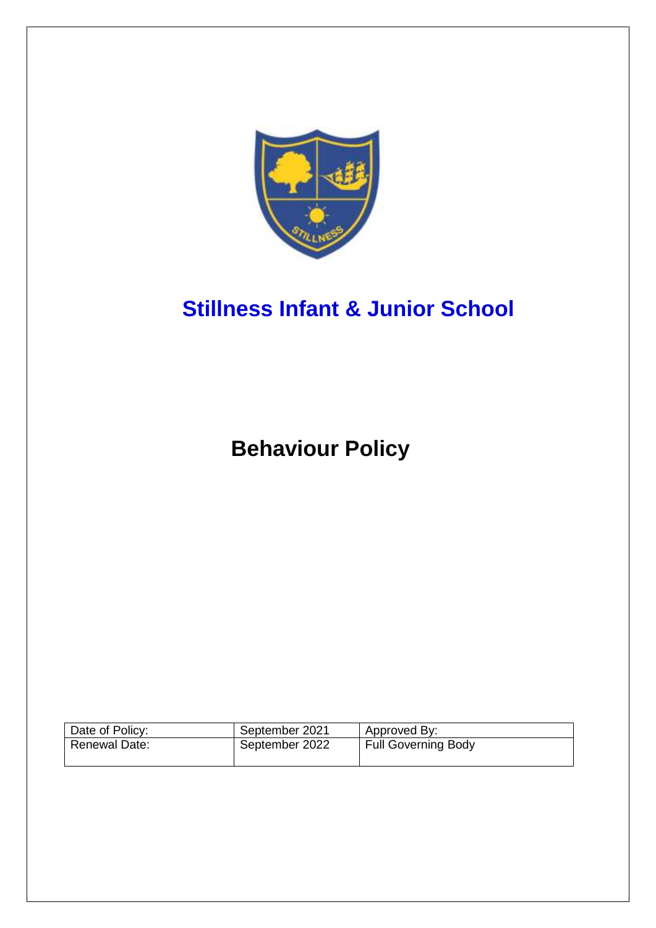

# **Stillness Infant & Junior School**

**Behaviour Policy**

| Date of Policy:      | September 2021 | Approved By:               |
|----------------------|----------------|----------------------------|
| <b>Renewal Date:</b> | September 2022 | <b>Full Governing Body</b> |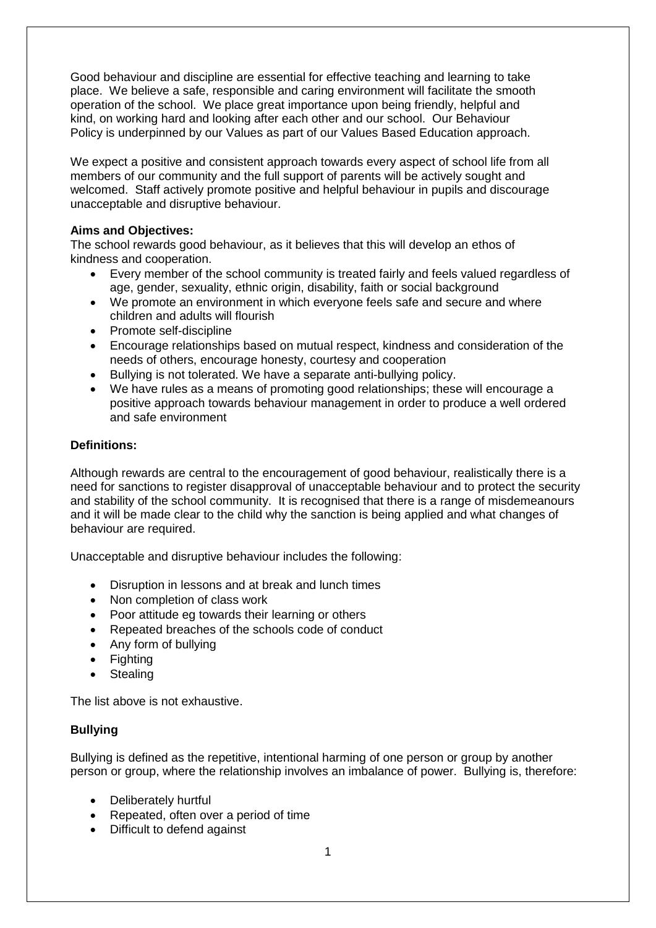Good behaviour and discipline are essential for effective teaching and learning to take place. We believe a safe, responsible and caring environment will facilitate the smooth operation of the school. We place great importance upon being friendly, helpful and kind, on working hard and looking after each other and our school. Our Behaviour Policy is underpinned by our Values as part of our Values Based Education approach.

We expect a positive and consistent approach towards every aspect of school life from all members of our community and the full support of parents will be actively sought and welcomed. Staff actively promote positive and helpful behaviour in pupils and discourage unacceptable and disruptive behaviour.

### **Aims and Objectives:**

The school rewards good behaviour, as it believes that this will develop an ethos of kindness and cooperation.

- Every member of the school community is treated fairly and feels valued regardless of age, gender, sexuality, ethnic origin, disability, faith or social background
- We promote an environment in which everyone feels safe and secure and where children and adults will flourish
- Promote self-discipline
- Encourage relationships based on mutual respect, kindness and consideration of the needs of others, encourage honesty, courtesy and cooperation
- Bullying is not tolerated. We have a separate anti-bullying policy.
- We have rules as a means of promoting good relationships; these will encourage a positive approach towards behaviour management in order to produce a well ordered and safe environment

## **Definitions:**

Although rewards are central to the encouragement of good behaviour, realistically there is a need for sanctions to register disapproval of unacceptable behaviour and to protect the security and stability of the school community. It is recognised that there is a range of misdemeanours and it will be made clear to the child why the sanction is being applied and what changes of behaviour are required.

Unacceptable and disruptive behaviour includes the following:

- Disruption in lessons and at break and lunch times
- Non completion of class work
- Poor attitude eg towards their learning or others
- Repeated breaches of the schools code of conduct
- Any form of bullying
- **Fighting**
- **Stealing**

The list above is not exhaustive.

# **Bullying**

Bullying is defined as the repetitive, intentional harming of one person or group by another person or group, where the relationship involves an imbalance of power. Bullying is, therefore:

- Deliberately hurtful
- Repeated, often over a period of time
- Difficult to defend against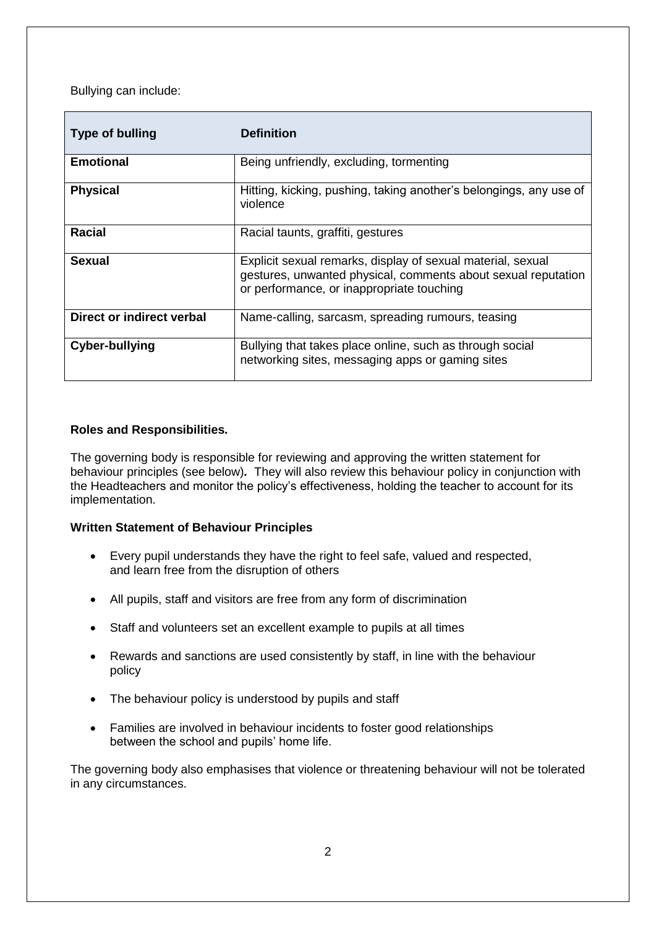Bullying can include:

| <b>Type of bulling</b>    | <b>Definition</b>                                                                                                                                                         |  |
|---------------------------|---------------------------------------------------------------------------------------------------------------------------------------------------------------------------|--|
| <b>Emotional</b>          | Being unfriendly, excluding, tormenting                                                                                                                                   |  |
| <b>Physical</b>           | Hitting, kicking, pushing, taking another's belongings, any use of<br>violence                                                                                            |  |
| Racial                    | Racial taunts, graffiti, gestures                                                                                                                                         |  |
| <b>Sexual</b>             | Explicit sexual remarks, display of sexual material, sexual<br>gestures, unwanted physical, comments about sexual reputation<br>or performance, or inappropriate touching |  |
| Direct or indirect verbal | Name-calling, sarcasm, spreading rumours, teasing                                                                                                                         |  |
| <b>Cyber-bullying</b>     | Bullying that takes place online, such as through social<br>networking sites, messaging apps or gaming sites                                                              |  |

# **Roles and Responsibilities.**

The governing body is responsible for reviewing and approving the written statement for behaviour principles (see below)*.* They will also review this behaviour policy in conjunction with the Headteachers and monitor the policy's effectiveness, holding the teacher to account for its implementation.

#### **Written Statement of Behaviour Principles**

- Every pupil understands they have the right to feel safe, valued and respected, and learn free from the disruption of others
- All pupils, staff and visitors are free from any form of discrimination
- Staff and volunteers set an excellent example to pupils at all times
- Rewards and sanctions are used consistently by staff, in line with the behaviour policy
- The behaviour policy is understood by pupils and staff
- Families are involved in behaviour incidents to foster good relationships between the school and pupils' home life.

The governing body also emphasises that violence or threatening behaviour will not be tolerated in any circumstances.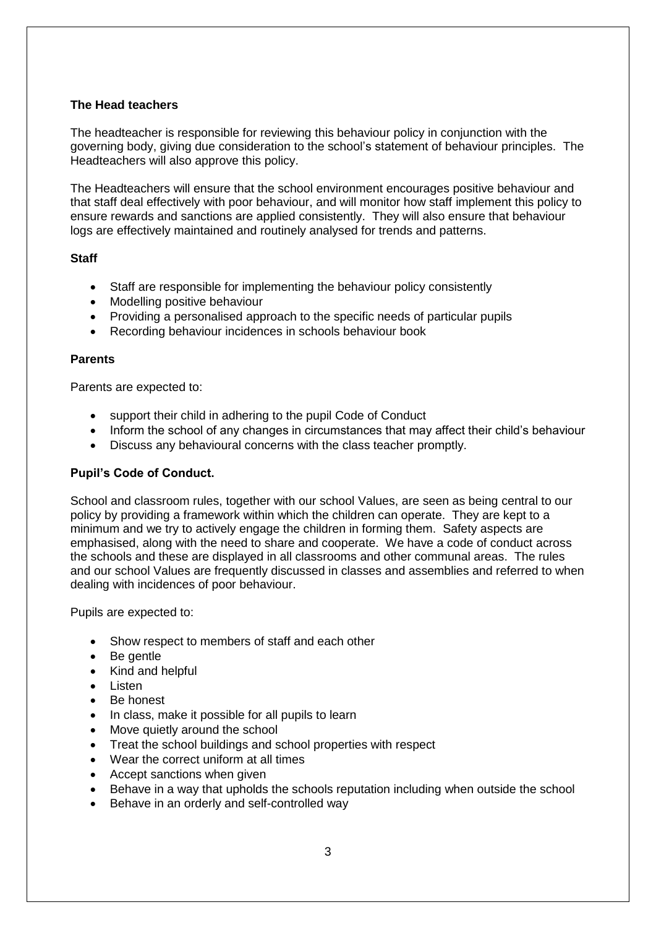### **The Head teachers**

The headteacher is responsible for reviewing this behaviour policy in conjunction with the governing body, giving due consideration to the school's statement of behaviour principles. The Headteachers will also approve this policy.

The Headteachers will ensure that the school environment encourages positive behaviour and that staff deal effectively with poor behaviour, and will monitor how staff implement this policy to ensure rewards and sanctions are applied consistently. They will also ensure that behaviour logs are effectively maintained and routinely analysed for trends and patterns.

## **Staff**

- Staff are responsible for implementing the behaviour policy consistently
- Modelling positive behaviour
- Providing a personalised approach to the specific needs of particular pupils
- Recording behaviour incidences in schools behaviour book

#### **Parents**

Parents are expected to:

- support their child in adhering to the pupil Code of Conduct
- Inform the school of any changes in circumstances that may affect their child's behaviour
- Discuss any behavioural concerns with the class teacher promptly.

#### **Pupil's Code of Conduct.**

School and classroom rules, together with our school Values, are seen as being central to our policy by providing a framework within which the children can operate. They are kept to a minimum and we try to actively engage the children in forming them. Safety aspects are emphasised, along with the need to share and cooperate. We have a code of conduct across the schools and these are displayed in all classrooms and other communal areas. The rules and our school Values are frequently discussed in classes and assemblies and referred to when dealing with incidences of poor behaviour.

Pupils are expected to:

- Show respect to members of staff and each other
- Be gentle
- Kind and helpful
- Listen
- Be honest
- In class, make it possible for all pupils to learn
- Move quietly around the school
- Treat the school buildings and school properties with respect
- Wear the correct uniform at all times
- Accept sanctions when given
- Behave in a way that upholds the schools reputation including when outside the school
- Behave in an orderly and self-controlled way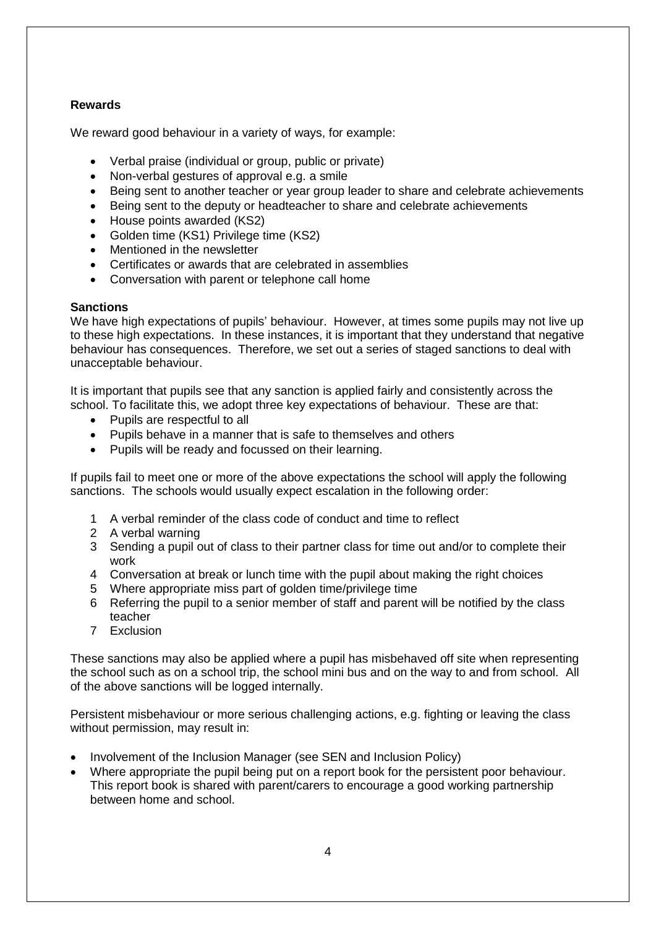# **Rewards**

We reward good behaviour in a variety of ways, for example:

- Verbal praise (individual or group, public or private)
- Non-verbal gestures of approval e.g. a smile
- Being sent to another teacher or year group leader to share and celebrate achievements
- Being sent to the deputy or headteacher to share and celebrate achievements
- House points awarded (KS2)
- Golden time (KS1) Privilege time (KS2)
- Mentioned in the newsletter
- Certificates or awards that are celebrated in assemblies
- Conversation with parent or telephone call home

#### **Sanctions**

We have high expectations of pupils' behaviour. However, at times some pupils may not live up to these high expectations. In these instances, it is important that they understand that negative behaviour has consequences. Therefore, we set out a series of staged sanctions to deal with unacceptable behaviour.

It is important that pupils see that any sanction is applied fairly and consistently across the school. To facilitate this, we adopt three key expectations of behaviour. These are that:

- Pupils are respectful to all
- Pupils behave in a manner that is safe to themselves and others
- Pupils will be ready and focussed on their learning.

If pupils fail to meet one or more of the above expectations the school will apply the following sanctions. The schools would usually expect escalation in the following order:

- 1 A verbal reminder of the class code of conduct and time to reflect
- 2 A verbal warning
- 3 Sending a pupil out of class to their partner class for time out and/or to complete their work
- 4 Conversation at break or lunch time with the pupil about making the right choices
- 5 Where appropriate miss part of golden time/privilege time
- 6 Referring the pupil to a senior member of staff and parent will be notified by the class teacher
- 7 Exclusion

These sanctions may also be applied where a pupil has misbehaved off site when representing the school such as on a school trip, the school mini bus and on the way to and from school. All of the above sanctions will be logged internally.

Persistent misbehaviour or more serious challenging actions, e.g. fighting or leaving the class without permission, may result in:

- Involvement of the Inclusion Manager (see SEN and Inclusion Policy)
- Where appropriate the pupil being put on a report book for the persistent poor behaviour. This report book is shared with parent/carers to encourage a good working partnership between home and school.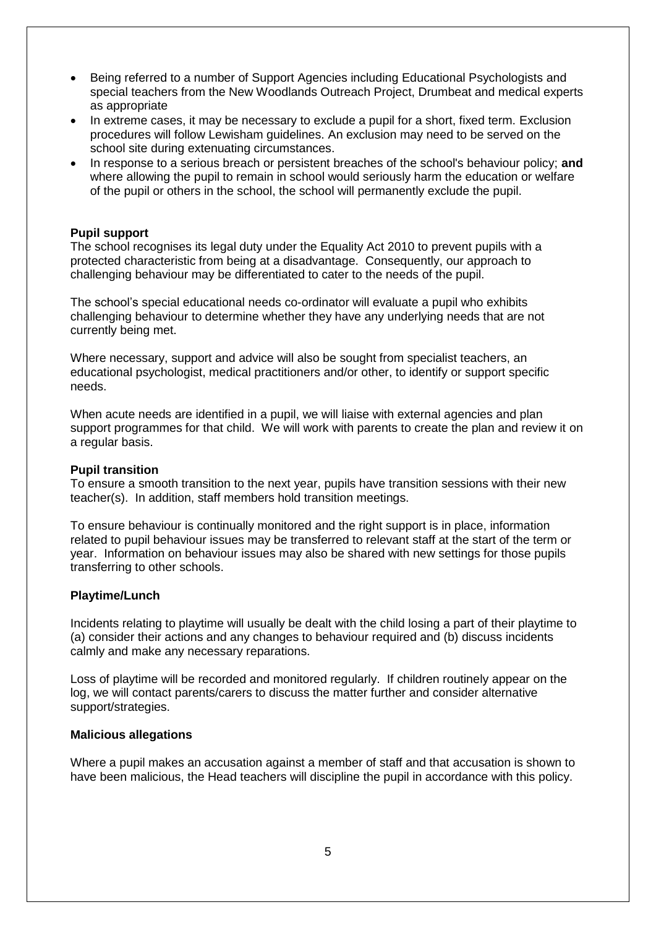- Being referred to a number of Support Agencies including Educational Psychologists and special teachers from the New Woodlands Outreach Project, Drumbeat and medical experts as appropriate
- In extreme cases, it may be necessary to exclude a pupil for a short, fixed term. Exclusion procedures will follow Lewisham guidelines. An exclusion may need to be served on the school site during extenuating circumstances.
- In response to a serious breach or persistent breaches of the school's behaviour policy; **and** where allowing the pupil to remain in school would seriously harm the education or welfare of the pupil or others in the school, the school will permanently exclude the pupil.

#### **Pupil support**

The school recognises its legal duty under the Equality Act 2010 to prevent pupils with a protected characteristic from being at a disadvantage. Consequently, our approach to challenging behaviour may be differentiated to cater to the needs of the pupil.

The school's special educational needs co-ordinator will evaluate a pupil who exhibits challenging behaviour to determine whether they have any underlying needs that are not currently being met.

Where necessary, support and advice will also be sought from specialist teachers, an educational psychologist, medical practitioners and/or other, to identify or support specific needs.

When acute needs are identified in a pupil, we will liaise with external agencies and plan support programmes for that child. We will work with parents to create the plan and review it on a regular basis.

#### **Pupil transition**

To ensure a smooth transition to the next year, pupils have transition sessions with their new teacher(s). In addition, staff members hold transition meetings.

To ensure behaviour is continually monitored and the right support is in place, information related to pupil behaviour issues may be transferred to relevant staff at the start of the term or year. Information on behaviour issues may also be shared with new settings for those pupils transferring to other schools.

#### **Playtime/Lunch**

Incidents relating to playtime will usually be dealt with the child losing a part of their playtime to (a) consider their actions and any changes to behaviour required and (b) discuss incidents calmly and make any necessary reparations.

Loss of playtime will be recorded and monitored regularly. If children routinely appear on the log, we will contact parents/carers to discuss the matter further and consider alternative support/strategies.

#### **Malicious allegations**

Where a pupil makes an accusation against a member of staff and that accusation is shown to have been malicious, the Head teachers will discipline the pupil in accordance with this policy.